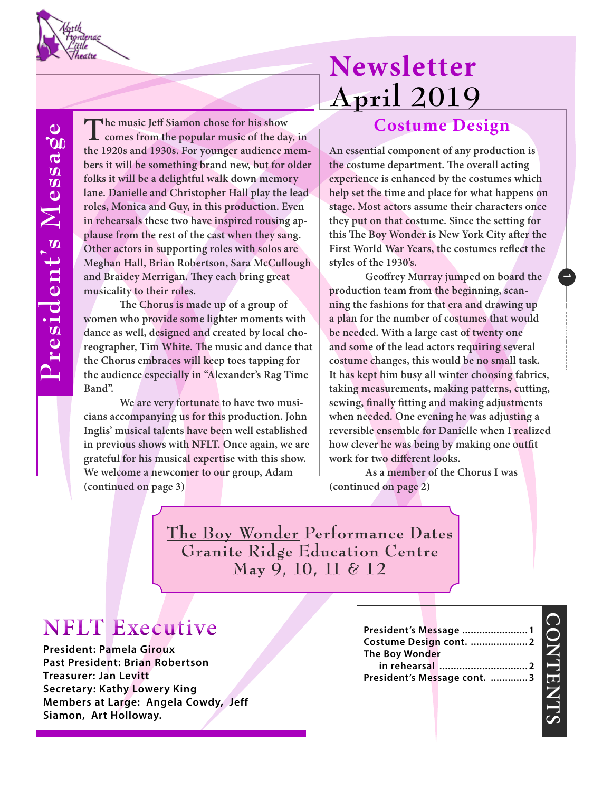

President's Message **President's Message**

The music Jeff Siamon chose for his show comes from the popular music of the day, in **the 1920s and 1930s. For younger audience members it will be something brand new, but for older folks it will be a delightful walk down memory lane. Danielle and Christopher Hall play the lead roles, Monica and Guy, in this production. Even in rehearsals these two have inspired rousing applause from the rest of the cast when they sang. Other actors in supporting roles with solos are Meghan Hall, Brian Robertson, Sara McCullough and Braidey Merrigan. They each bring great musicality to their roles.** 

**The Chorus is made up of a group of women who provide some lighter moments with dance as well, designed and created by local choreographer, Tim White. The music and dance that the Chorus embraces will keep toes tapping for the audience especially in "Alexander's Rag Time Band".**

**We are very fortunate to have two musicians accompanying us for this production. John Inglis' musical talents have been well established in previous shows with NFLT. Once again, we are grateful for his musical expertise with this show. We welcome a newcomer to our group, Adam (continued on page 3) (continued on page 2)**

## **Newsletter April 2019**

#### **Costume Design**

**An essential component of any production is the costume department. The overall acting experience is enhanced by the costumes which help set the time and place for what happens on stage. Most actors assume their characters once they put on that costume. Since the setting for this The Boy Wonder is New York City after the First World War Years, the costumes reflect the styles of the 1930's.** 

**Geoffrey Murray jumped on board the production team from the beginning, scanning the fashions for that era and drawing up a plan for the number of costumes that would be needed. With a large cast of twenty one and some of the lead actors requiring several costume changes, this would be no small task. It has kept him busy all winter choosing fabrics, taking measurements, making patterns, cutting, sewing, finally fitting and making adjustments when needed. One evening he was adjusting a reversible ensemble for Danielle when I realized how clever he was being by making one outfit work for two different looks.** 

**As a member of the Chorus I was**

**The Boy Wonder Performance Dates Granite Ridge Education Centre May 9, 10, 11 & 12**

### **NFLT Executive**

**President: Pamela Giroux Past President: Brian Robertson Treasurer: Jan Levitt Secretary: Kathy Lowery King Members at Large: Angela Cowdy, Jeff Siamon, Art Holloway.**

|                |  | President's Message  1      |  |
|----------------|--|-----------------------------|--|
|                |  | Costume Design cont.  2     |  |
| The Boy Wonder |  |                             |  |
|                |  |                             |  |
|                |  | President's Message cont. 3 |  |
|                |  |                             |  |

# **CONTENTS ONTENT**

**1**

**Laoreet 0000**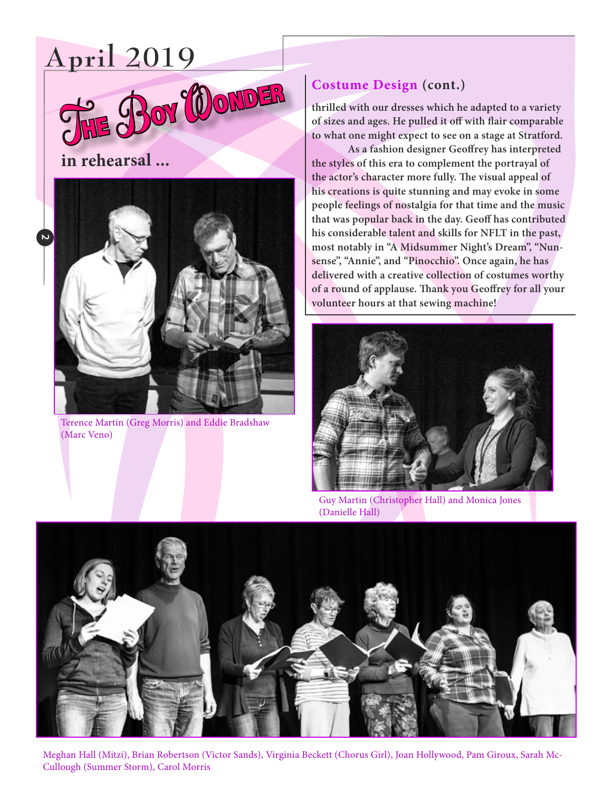### **April 2019**



**in rehearsal ...**



Terence Martin (Greg Morris) and Eddie Bradshaw (Marc Veno)

#### **Costume Design (cont.)**

**thrilled with our dresses which he adapted to a variety of sizes and ages. He pulled it off with flair comparable to what one might expect to see on a stage at Stratford.** 

**As a fashion designer Geoffrey has interpreted the styles of this era to complement the portrayal of the actor's character more fully. The visual appeal of his creations is quite stunning and may evoke in some people feelings of nostalgia for that time and the music that was popular back in the day. Geoff has contributed his considerable talent and skills for NFLT in the past, most notably in "A Midsummer Night's Dream", "Nunsense", "Annie", and "Pinocchio". Once again, he has delivered with a creative collection of costumes worthy of a round of applause. Thank you Geoffrey for all your volunteer hours at that sewing machine!**



Guy Martin (Christopher Hall) and Monica Jones (Danielle Hall)



Meghan Hall (Mitzi), Brian Robertson (Victor Sands), Virginia Beckett (Chorus Girl), Joan Hollywood, Pam Giroux, Sarah Mc-Cullough (Summer Storm), Carol Morris